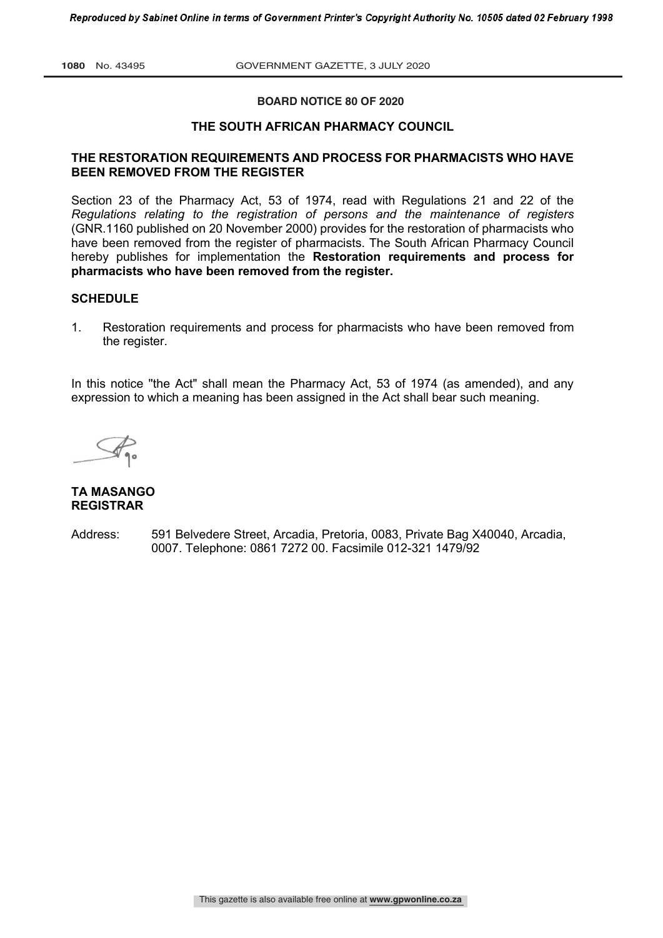#### **BOARD NOTICE 80 OF 2020**

## **THE SOUTH AFRICAN PHARMACY COUNCIL**

#### **THE RESTORATION REQUIREMENTS AND PROCESS FOR PHARMACISTS WHO HAVE BEEN REMOVED FROM THE REGISTER**

Section 23 of the Pharmacy Act, 53 of 1974, read with Regulations 21 and 22 of the *Regulations relating to the registration of persons and the maintenance of registers* (GNR.1160 published on 20 November 2000) provides for the restoration of pharmacists who have been removed from the register of pharmacists. The South African Pharmacy Council hereby publishes for implementation the **Restoration requirements and process for pharmacists who have been removed from the register.** 

## **SCHEDULE**

1. Restoration requirements and process for pharmacists who have been removed from the register.

In this notice ''the Act" shall mean the Pharmacy Act, 53 of 1974 (as amended), and any expression to which a meaning has been assigned in the Act shall bear such meaning.

#### **TA MASANGO REGISTRAR**

Address: 591 Belvedere Street, Arcadia, Pretoria, 0083, Private Bag X40040, Arcadia, 0007. Telephone: 0861 7272 00. Facsimile 012-321 1479/92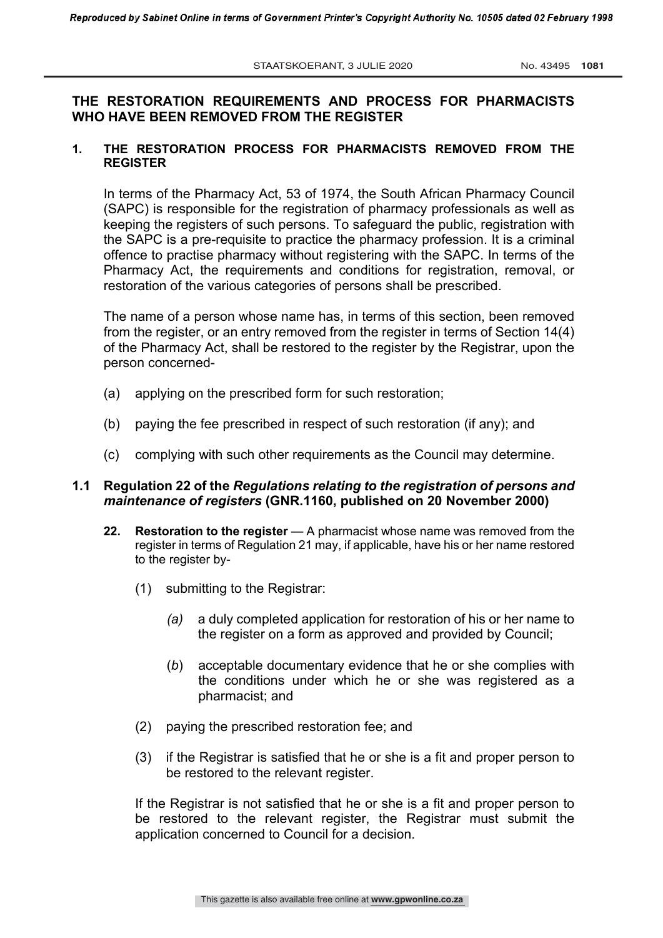# **THE RESTORATION REQUIREMENTS AND PROCESS FOR PHARMACISTS WHO HAVE BEEN REMOVED FROM THE REGISTER**

## **1. THE RESTORATION PROCESS FOR PHARMACISTS REMOVED FROM THE REGISTER**

In terms of the Pharmacy Act, 53 of 1974, the South African Pharmacy Council (SAPC) is responsible for the registration of pharmacy professionals as well as keeping the registers of such persons. To safeguard the public, registration with the SAPC is a pre-requisite to practice the pharmacy profession. It is a criminal offence to practise pharmacy without registering with the SAPC. In terms of the Pharmacy Act, the requirements and conditions for registration, removal, or restoration of the various categories of persons shall be prescribed.

The name of a person whose name has, in terms of this section, been removed from the register, or an entry removed from the register in terms of Section 14(4) of the Pharmacy Act, shall be restored to the register by the Registrar, upon the person concerned-

- (a) applying on the prescribed form for such restoration;
- (b) paying the fee prescribed in respect of such restoration (if any); and
- (c) complying with such other requirements as the Council may determine.

## **1.1 Regulation 22 of the** *Regulations relating to the registration of persons and maintenance of registers* **(GNR.1160, published on 20 November 2000)**

- **22. Restoration to the register** A pharmacist whose name was removed from the register in terms of Regulation 21 may, if applicable, have his or her name restored to the register by-
	- (1) submitting to the Registrar:
		- *(a)* a duly completed application for restoration of his or her name to the register on a form as approved and provided by Council;
		- (*b*) acceptable documentary evidence that he or she complies with the conditions under which he or she was registered as a pharmacist; and
	- (2) paying the prescribed restoration fee; and
	- (3) if the Registrar is satisfied that he or she is a fit and proper person to be restored to the relevant register.

If the Registrar is not satisfied that he or she is a fit and proper person to be restored to the relevant register, the Registrar must submit the application concerned to Council for a decision.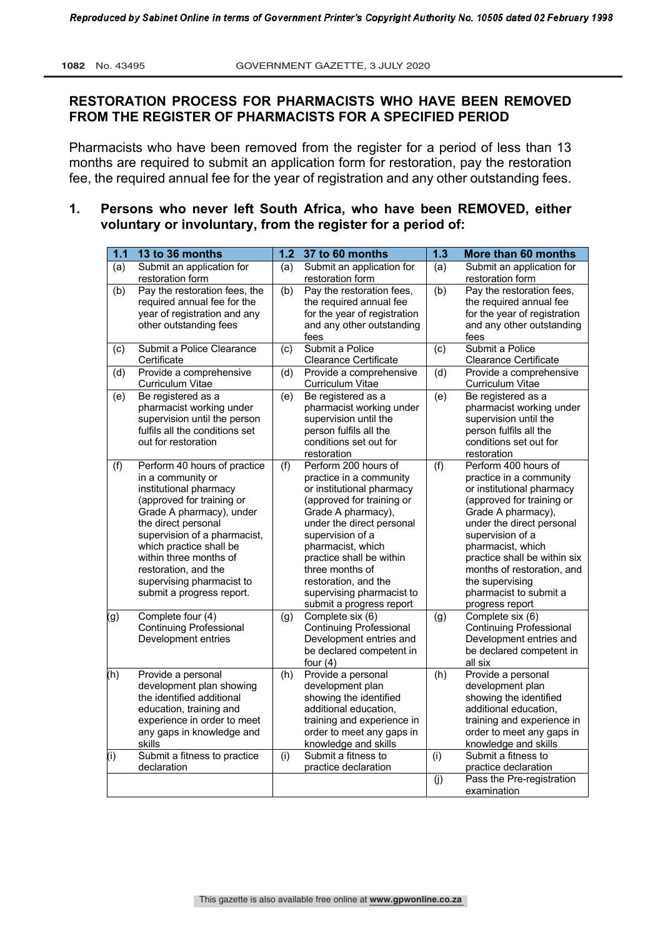# **RESTORATION PROCESS FOR PHARMACISTS WHO HAVE BEEN REMOVED FROM THE REGISTER OF PHARMACISTS FOR A SPECIFIED PERIOD**

Pharmacists who have been removed from the register for a period of less than 13 months are required to submit an application form for restoration, pay the restoration fee, the required annual fee for the year of registration and any other outstanding fees.

# **1. Persons who never left South Africa, who have been REMOVED, either voluntary or involuntary, from the register for a period of:**

| $1.1$ | 13 to 36 months                                                                                                                                                                                                                                                                                                                    |     | 1.2 37 to 60 months                                                                                                                                                                                                                                                                                                                   | 1.3 | More than 60 months                                                                                                                                                                                                                                                                                                                 |
|-------|------------------------------------------------------------------------------------------------------------------------------------------------------------------------------------------------------------------------------------------------------------------------------------------------------------------------------------|-----|---------------------------------------------------------------------------------------------------------------------------------------------------------------------------------------------------------------------------------------------------------------------------------------------------------------------------------------|-----|-------------------------------------------------------------------------------------------------------------------------------------------------------------------------------------------------------------------------------------------------------------------------------------------------------------------------------------|
| (a)   | Submit an application for<br>restoration form                                                                                                                                                                                                                                                                                      | (a) | Submit an application for<br>restoration form                                                                                                                                                                                                                                                                                         | (a) | Submit an application for<br>restoration form                                                                                                                                                                                                                                                                                       |
| (b)   | Pay the restoration fees, the<br>required annual fee for the                                                                                                                                                                                                                                                                       | (b) | Pay the restoration fees,<br>the required annual fee                                                                                                                                                                                                                                                                                  | (b) | Pay the restoration fees,<br>the required annual fee                                                                                                                                                                                                                                                                                |
|       | year of registration and any<br>other outstanding fees                                                                                                                                                                                                                                                                             |     | for the year of registration<br>and any other outstanding<br>fees                                                                                                                                                                                                                                                                     |     | for the year of registration<br>and any other outstanding<br>fees                                                                                                                                                                                                                                                                   |
| (c)   | Submit a Police Clearance<br>Certificate                                                                                                                                                                                                                                                                                           | (c) | Submit a Police<br>Clearance Certificate                                                                                                                                                                                                                                                                                              | (c) | Submit a Police<br>Clearance Certificate                                                                                                                                                                                                                                                                                            |
| (d)   | Provide a comprehensive<br><b>Curriculum Vitae</b>                                                                                                                                                                                                                                                                                 | (d) | Provide a comprehensive<br>Curriculum Vitae                                                                                                                                                                                                                                                                                           | (d) | Provide a comprehensive<br>Curriculum Vitae                                                                                                                                                                                                                                                                                         |
| (e)   | Be registered as a<br>pharmacist working under<br>supervision until the person<br>fulfils all the conditions set<br>out for restoration                                                                                                                                                                                            | (e) | Be registered as a<br>pharmacist working under<br>supervision until the<br>person fulfils all the<br>conditions set out for<br>restoration                                                                                                                                                                                            | (e) | Be registered as a<br>pharmacist working under<br>supervision until the<br>person fulfils all the<br>conditions set out for<br>restoration                                                                                                                                                                                          |
| (f)   | Perform 40 hours of practice<br>in a community or<br>institutional pharmacy<br>(approved for training or<br>Grade A pharmacy), under<br>the direct personal<br>supervision of a pharmacist,<br>which practice shall be<br>within three months of<br>restoration, and the<br>supervising pharmacist to<br>submit a progress report. | (f) | Perform 200 hours of<br>practice in a community<br>or institutional pharmacy<br>(approved for training or<br>Grade A pharmacy),<br>under the direct personal<br>supervision of a<br>pharmacist, which<br>practice shall be within<br>three months of<br>restoration, and the<br>supervising pharmacist to<br>submit a progress report | (f) | Perform 400 hours of<br>practice in a community<br>or institutional pharmacy<br>(approved for training or<br>Grade A pharmacy),<br>under the direct personal<br>supervision of a<br>pharmacist, which<br>practice shall be within six<br>months of restoration, and<br>the supervising<br>pharmacist to submit a<br>progress report |
| (g)   | Complete four (4)<br><b>Continuing Professional</b><br>Development entries                                                                                                                                                                                                                                                         | (g) | Complete six (6)<br><b>Continuing Professional</b><br>Development entries and<br>be declared competent in<br>four $(4)$                                                                                                                                                                                                               | (g) | Complete six (6)<br><b>Continuing Professional</b><br>Development entries and<br>be declared competent in<br>all six                                                                                                                                                                                                                |
| (h)   | Provide a personal<br>development plan showing<br>the identified additional<br>education, training and<br>experience in order to meet<br>any gaps in knowledge and<br>skills                                                                                                                                                       | (h) | Provide a personal<br>development plan<br>showing the identified<br>additional education,<br>training and experience in<br>order to meet any gaps in<br>knowledge and skills                                                                                                                                                          | (h) | Provide a personal<br>development plan<br>showing the identified<br>additional education,<br>training and experience in<br>order to meet any gaps in<br>knowledge and skills                                                                                                                                                        |
| (i)   | Submit a fitness to practice<br>declaration                                                                                                                                                                                                                                                                                        | (i) | Submit a fitness to<br>practice declaration                                                                                                                                                                                                                                                                                           | (i) | Submit a fitness to<br>practice declaration                                                                                                                                                                                                                                                                                         |
|       |                                                                                                                                                                                                                                                                                                                                    |     |                                                                                                                                                                                                                                                                                                                                       | (j) | Pass the Pre-registration<br>examination                                                                                                                                                                                                                                                                                            |